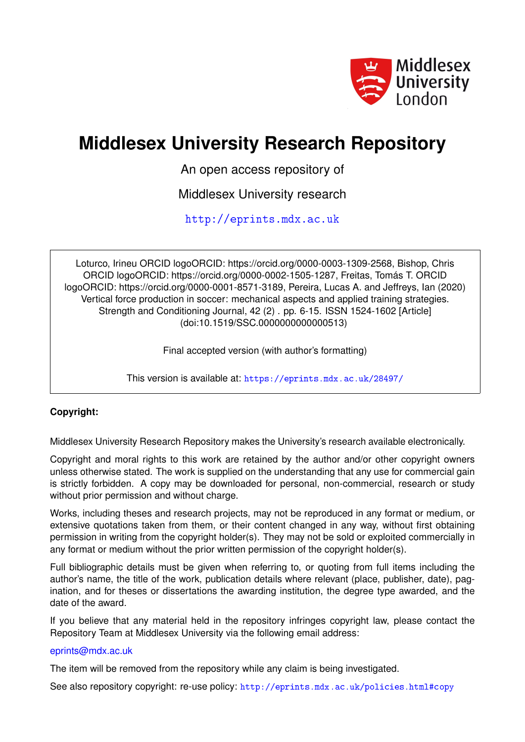

# **Middlesex University Research Repository**

An open access repository of

Middlesex University research

<http://eprints.mdx.ac.uk>

Loturco, Irineu ORCID logoORCID: https://orcid.org/0000-0003-1309-2568, Bishop, Chris ORCID logoORCID: https://orcid.org/0000-0002-1505-1287, Freitas, Tomás T. ORCID logoORCID: https://orcid.org/0000-0001-8571-3189, Pereira, Lucas A. and Jeffreys, Ian (2020) Vertical force production in soccer: mechanical aspects and applied training strategies. Strength and Conditioning Journal, 42 (2) . pp. 6-15. ISSN 1524-1602 [Article] (doi:10.1519/SSC.0000000000000513)

Final accepted version (with author's formatting)

This version is available at: <https://eprints.mdx.ac.uk/28497/>

# **Copyright:**

Middlesex University Research Repository makes the University's research available electronically.

Copyright and moral rights to this work are retained by the author and/or other copyright owners unless otherwise stated. The work is supplied on the understanding that any use for commercial gain is strictly forbidden. A copy may be downloaded for personal, non-commercial, research or study without prior permission and without charge.

Works, including theses and research projects, may not be reproduced in any format or medium, or extensive quotations taken from them, or their content changed in any way, without first obtaining permission in writing from the copyright holder(s). They may not be sold or exploited commercially in any format or medium without the prior written permission of the copyright holder(s).

Full bibliographic details must be given when referring to, or quoting from full items including the author's name, the title of the work, publication details where relevant (place, publisher, date), pagination, and for theses or dissertations the awarding institution, the degree type awarded, and the date of the award.

If you believe that any material held in the repository infringes copyright law, please contact the Repository Team at Middlesex University via the following email address:

## [eprints@mdx.ac.uk](mailto:eprints@mdx.ac.uk)

The item will be removed from the repository while any claim is being investigated.

See also repository copyright: re-use policy: <http://eprints.mdx.ac.uk/policies.html#copy>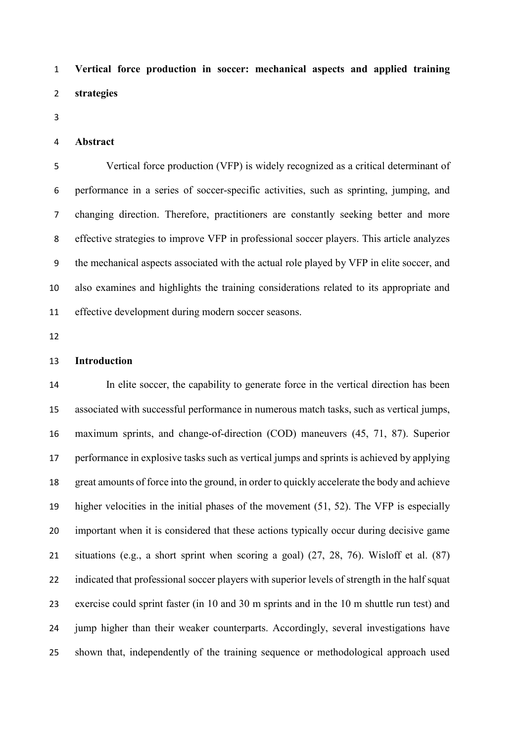**Vertical force production in soccer: mechanical aspects and applied training strategies**

#### **Abstract**

 Vertical force production (VFP) is widely recognized as a critical determinant of performance in a series of soccer-specific activities, such as sprinting, jumping, and changing direction. Therefore, practitioners are constantly seeking better and more effective strategies to improve VFP in professional soccer players. This article analyzes the mechanical aspects associated with the actual role played by VFP in elite soccer, and also examines and highlights the training considerations related to its appropriate and effective development during modern soccer seasons.

#### **Introduction**

 In elite soccer, the capability to generate force in the vertical direction has been associated with successful performance in numerous match tasks, such as vertical jumps, maximum sprints, and change-of-direction (COD) maneuvers [\(45,](#page-19-0) [71,](#page-22-0) [87\)](#page-24-0). Superior performance in explosive tasks such as vertical jumps and sprints is achieved by applying great amounts of force into the ground, in order to quickly accelerate the body and achieve higher velocities in the initial phases of the movement [\(51,](#page-20-0) [52\)](#page-20-1). The VFP is especially important when it is considered that these actions typically occur during decisive game situations (e.g., a short sprint when scoring a goal) [\(27,](#page-16-0) [28,](#page-17-0) [76\)](#page-23-0). Wisloff et al. [\(87\)](#page-24-0) indicated that professional soccer players with superior levels of strength in the half squat exercise could sprint faster (in 10 and 30 m sprints and in the 10 m shuttle run test) and jump higher than their weaker counterparts. Accordingly, several investigations have shown that, independently of the training sequence or methodological approach used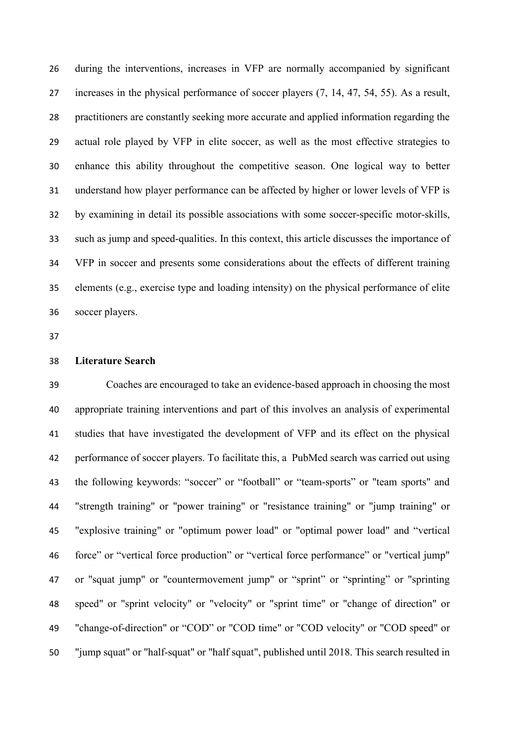during the interventions, increases in VFP are normally accompanied by significant increases in the physical performance of soccer players [\(7,](#page-14-0) [14,](#page-15-0) [47,](#page-19-1) [54,](#page-20-2) [55\)](#page-20-3). As a result, practitioners are constantly seeking more accurate and applied information regarding the actual role played by VFP in elite soccer, as well as the most effective strategies to enhance this ability throughout the competitive season. One logical way to better understand how player performance can be affected by higher or lower levels of VFP is by examining in detail its possible associations with some soccer-specific motor-skills, such as jump and speed-qualities. In this context, this article discusses the importance of VFP in soccer and presents some considerations about the effects of different training elements (e.g., exercise type and loading intensity) on the physical performance of elite soccer players.

#### **Literature Search**

 Coaches are encouraged to take an evidence-based approach in choosing the most appropriate training interventions and part of this involves an analysis of experimental studies that have investigated the development of VFP and its effect on the physical performance of soccer players. To facilitate this, a PubMed search was carried out using the following keywords: "soccer" or "football" or "team-sports" or "team sports" and "strength training" or "power training" or "resistance training" or "jump training" or "explosive training" or "optimum power load" or "optimal power load" and "vertical force" or "vertical force production" or "vertical force performance" or "vertical jump" or "squat jump" or "countermovement jump" or "sprint" or "sprinting" or "sprinting speed" or "sprint velocity" or "velocity" or "sprint time" or "change of direction" or "change-of-direction" or "COD" or "COD time" or "COD velocity" or "COD speed" or "jump squat" or "half-squat" or "half squat", published until 2018. This search resulted in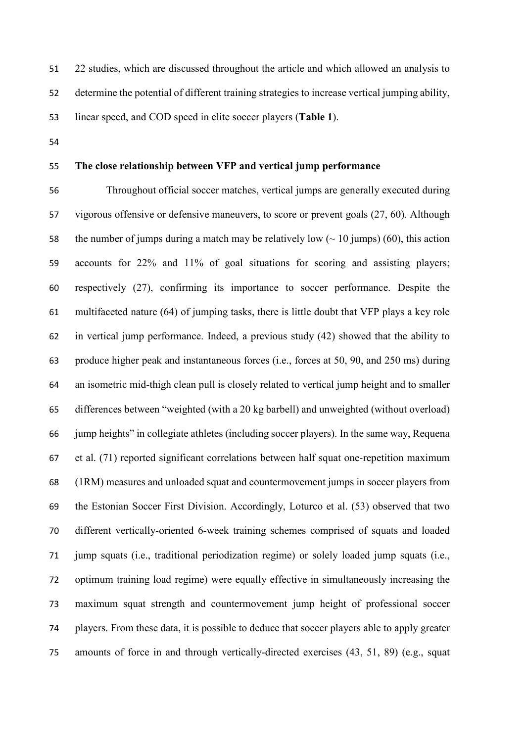22 studies, which are discussed throughout the article and which allowed an analysis to determine the potential of different training strategies to increase vertical jumping ability,

linear speed, and COD speed in elite soccer players (**Table 1**).

# **The close relationship between VFP and vertical jump performance**

 Throughout official soccer matches, vertical jumps are generally executed during vigorous offensive or defensive maneuvers, to score or prevent goals [\(27,](#page-16-0) [60\)](#page-21-0). Although 58 the number of jumps during a match may be relatively low  $\left(\sim 10 \text{ jumps}\right)$  [\(60\)](#page-21-0), this action accounts for 22% and 11% of goal situations for scoring and assisting players; respectively [\(27\)](#page-16-0), confirming its importance to soccer performance. Despite the multifaceted nature [\(64\)](#page-21-1) of jumping tasks, there is little doubt that VFP plays a key role in vertical jump performance. Indeed, a previous study [\(42\)](#page-18-0) showed that the ability to produce higher peak and instantaneous forces (i.e., forces at 50, 90, and 250 ms) during an isometric mid-thigh clean pull is closely related to vertical jump height and to smaller differences between "weighted (with a 20 kg barbell) and unweighted (without overload) jump heights" in collegiate athletes (including soccer players). In the same way, Requena et al. [\(71\)](#page-22-0) reported significant correlations between half squat one-repetition maximum (1RM) measures and unloaded squat and countermovement jumps in soccer players from the Estonian Soccer First Division. Accordingly, Loturco et al. [\(53\)](#page-20-4) observed that two different vertically-oriented 6-week training schemes comprised of squats and loaded jump squats (i.e., traditional periodization regime) or solely loaded jump squats (i.e., optimum training load regime) were equally effective in simultaneously increasing the maximum squat strength and countermovement jump height of professional soccer players. From these data, it is possible to deduce that soccer players able to apply greater amounts of force in and through vertically-directed exercises [\(43,](#page-18-1) [51,](#page-20-0) [89\)](#page-25-0) (e.g., squat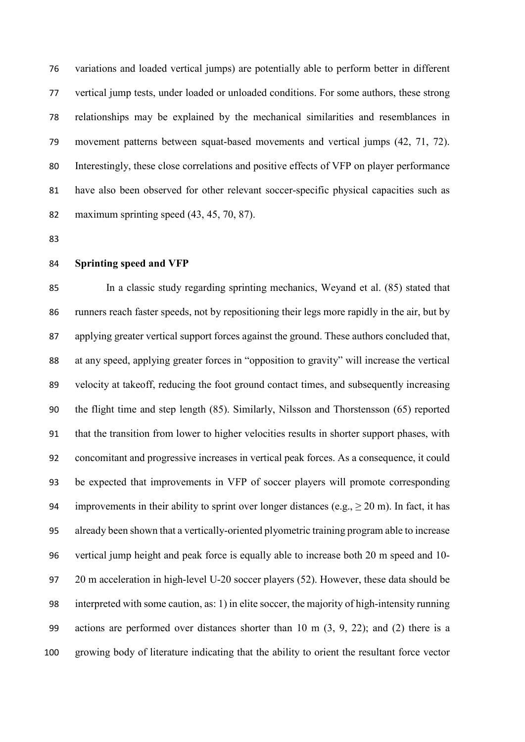variations and loaded vertical jumps) are potentially able to perform better in different vertical jump tests, under loaded or unloaded conditions. For some authors, these strong relationships may be explained by the mechanical similarities and resemblances in movement patterns between squat-based movements and vertical jumps [\(42,](#page-18-0) [71,](#page-22-0) [72\)](#page-22-1). Interestingly, these close correlations and positive effects of VFP on player performance have also been observed for other relevant soccer-specific physical capacities such as maximum sprinting speed [\(43,](#page-18-1) [45,](#page-19-0) [70,](#page-22-2) [87\)](#page-24-0).

## **Sprinting speed and VFP**

 In a classic study regarding sprinting mechanics, Weyand et al. [\(85\)](#page-24-1) stated that runners reach faster speeds, not by repositioning their legs more rapidly in the air, but by applying greater vertical support forces against the ground. These authors concluded that, at any speed, applying greater forces in "opposition to gravity" will increase the vertical velocity at takeoff, reducing the foot ground contact times, and subsequently increasing the flight time and step length [\(85\)](#page-24-1). Similarly, Nilsson and Thorstensson [\(65\)](#page-22-3) reported that the transition from lower to higher velocities results in shorter support phases, with concomitant and progressive increases in vertical peak forces. As a consequence, it could be expected that improvements in VFP of soccer players will promote corresponding 94 improvements in their ability to sprint over longer distances (e.g.,  $> 20$  m). In fact, it has already been shown that a vertically-oriented plyometric training program able to increase vertical jump height and peak force is equally able to increase both 20 m speed and 10- 20 m acceleration in high-level U-20 soccer players [\(52\)](#page-20-1). However, these data should be interpreted with some caution, as: 1) in elite soccer, the majority of high-intensity running actions are performed over distances shorter than 10 m [\(3,](#page-13-0) [9,](#page-14-1) [22\)](#page-16-1); and (2) there is a growing body of literature indicating that the ability to orient the resultant force vector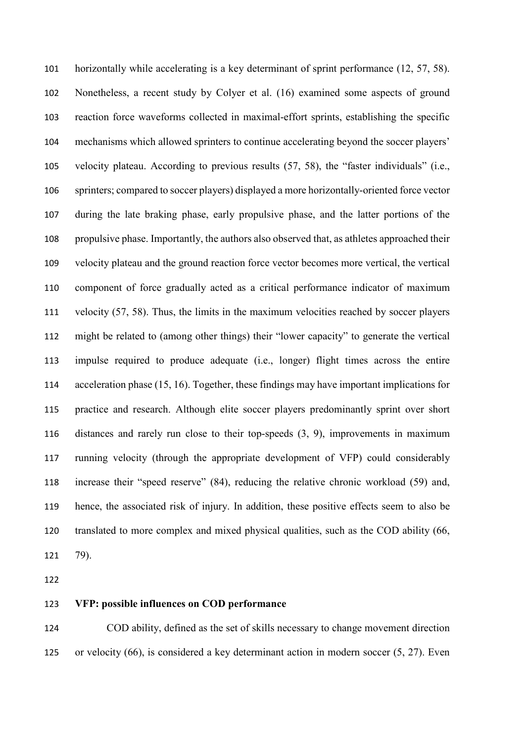horizontally while accelerating is a key determinant of sprint performance [\(12,](#page-14-2) [57,](#page-21-2) [58\)](#page-21-3). Nonetheless, a recent study by Colyer et al. [\(16\)](#page-15-1) examined some aspects of ground reaction force waveforms collected in maximal-effort sprints, establishing the specific mechanisms which allowed sprinters to continue accelerating beyond the soccer players' velocity plateau. According to previous results [\(57,](#page-21-2) [58\)](#page-21-3), the "faster individuals" (i.e., sprinters; compared to soccer players) displayed a more horizontally-oriented force vector during the late braking phase, early propulsive phase, and the latter portions of the propulsive phase. Importantly, the authors also observed that, as athletes approached their velocity plateau and the ground reaction force vector becomes more vertical, the vertical component of force gradually acted as a critical performance indicator of maximum velocity [\(57,](#page-21-2) [58\)](#page-21-3). Thus, the limits in the maximum velocities reached by soccer players might be related to (among other things) their "lower capacity" to generate the vertical impulse required to produce adequate (i.e., longer) flight times across the entire acceleration phase [\(15,](#page-15-2) [16\)](#page-15-1). Together, these findings may have important implications for practice and research. Although elite soccer players predominantly sprint over short distances and rarely run close to their top-speeds [\(3,](#page-13-0) [9\)](#page-14-1), improvements in maximum running velocity (through the appropriate development of VFP) could considerably increase their "speed reserve" [\(84\)](#page-24-2), reducing the relative chronic workload [\(59\)](#page-21-4) and, hence, the associated risk of injury. In addition, these positive effects seem to also be translated to more complex and mixed physical qualities, such as the COD ability [\(66,](#page-22-4) [79\)](#page-23-1).

**VFP: possible influences on COD performance**

 COD ability, defined as the set of skills necessary to change movement direction or velocity [\(66\)](#page-22-4), is considered a key determinant action in modern soccer [\(5,](#page-14-3) [27\)](#page-16-0). Even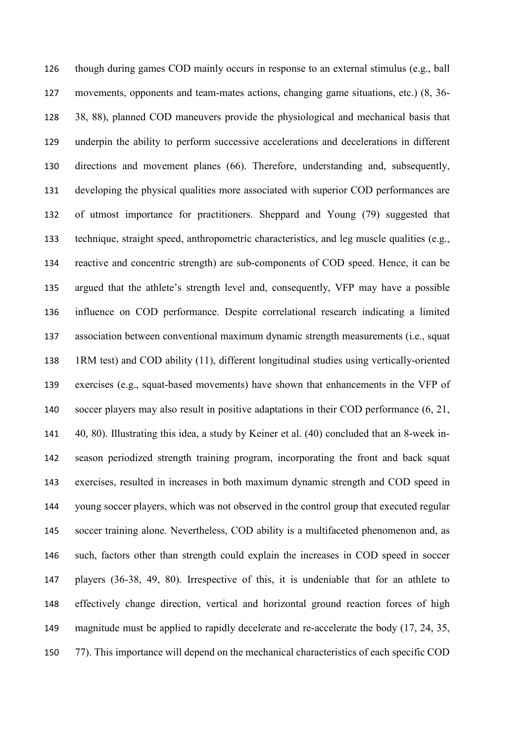though during games COD mainly occurs in response to an external stimulus (e.g., ball movements, opponents and team-mates actions, changing game situations, etc.) [\(8,](#page-14-4) [36-](#page-18-2) [38,](#page-18-2) [88\)](#page-24-3), planned COD maneuvers provide the physiological and mechanical basis that underpin the ability to perform successive accelerations and decelerations in different directions and movement planes [\(66\)](#page-22-4). Therefore, understanding and, subsequently, developing the physical qualities more associated with superior COD performances are of utmost importance for practitioners. Sheppard and Young [\(79\)](#page-23-1) suggested that technique, straight speed, anthropometric characteristics, and leg muscle qualities (e.g., reactive and concentric strength) are sub-components of COD speed. Hence, it can be argued that the athlete's strength level and, consequently, VFP may have a possible influence on COD performance. Despite correlational research indicating a limited association between conventional maximum dynamic strength measurements (i.e., squat 1RM test) and COD ability [\(11\)](#page-14-5), different longitudinal studies using vertically-oriented exercises (e.g., squat-based movements) have shown that enhancements in the VFP of soccer players may also result in positive adaptations in their COD performance [\(6,](#page-14-6) [21,](#page-16-2) [40,](#page-18-3) [80\)](#page-23-2). Illustrating this idea, a study by Keiner et al. [\(40\)](#page-18-3) concluded that an 8-week in- season periodized strength training program, incorporating the front and back squat exercises, resulted in increases in both maximum dynamic strength and COD speed in young soccer players, which was not observed in the control group that executed regular soccer training alone. Nevertheless, COD ability is a multifaceted phenomenon and, as such, factors other than strength could explain the increases in COD speed in soccer players [\(36-38,](#page-18-2) [49,](#page-19-2) [80\)](#page-23-2). Irrespective of this, it is undeniable that for an athlete to effectively change direction, vertical and horizontal ground reaction forces of high magnitude must be applied to rapidly decelerate and re-accelerate the body [\(17,](#page-15-3) [24,](#page-16-3) [35,](#page-18-4) [77\)](#page-23-3). This importance will depend on the mechanical characteristics of each specific COD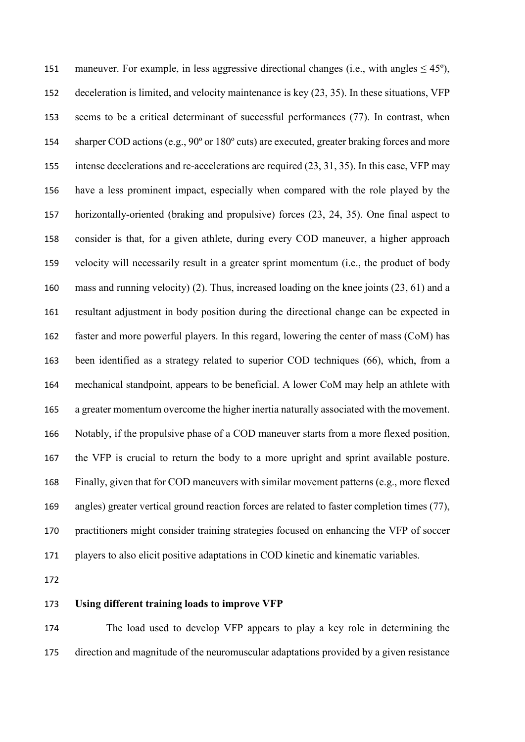151 maneuver. For example, in less aggressive directional changes (i.e., with angles  $\leq 45^{\circ}$ ), deceleration is limited, and velocity maintenance is key [\(23,](#page-16-4) [35\)](#page-18-4). In these situations, VFP seems to be a critical determinant of successful performances [\(77\)](#page-23-3). In contrast, when 154 sharper COD actions (e.g., 90° or 180° cuts) are executed, greater braking forces and more intense decelerations and re-accelerations are required [\(23,](#page-16-4) [31,](#page-17-1) [35\)](#page-18-4). In this case, VFP may have a less prominent impact, especially when compared with the role played by the horizontally-oriented (braking and propulsive) forces [\(23,](#page-16-4) [24,](#page-16-3) [35\)](#page-18-4). One final aspect to consider is that, for a given athlete, during every COD maneuver, a higher approach velocity will necessarily result in a greater sprint momentum (i.e., the product of body mass and running velocity) [\(2\)](#page-13-1). Thus, increased loading on the knee joints [\(23,](#page-16-4) [61\)](#page-21-5) and a resultant adjustment in body position during the directional change can be expected in faster and more powerful players. In this regard, lowering the center of mass (CoM) has been identified as a strategy related to superior COD techniques [\(66\)](#page-22-4), which, from a mechanical standpoint, appears to be beneficial. A lower CoM may help an athlete with a greater momentum overcome the higher inertia naturally associated with the movement. Notably, if the propulsive phase of a COD maneuver starts from a more flexed position, the VFP is crucial to return the body to a more upright and sprint available posture. Finally, given that for COD maneuvers with similar movement patterns (e.g., more flexed angles) greater vertical ground reaction forces are related to faster completion times [\(77\)](#page-23-3), practitioners might consider training strategies focused on enhancing the VFP of soccer players to also elicit positive adaptations in COD kinetic and kinematic variables.

#### **Using different training loads to improve VFP**

 The load used to develop VFP appears to play a key role in determining the direction and magnitude of the neuromuscular adaptations provided by a given resistance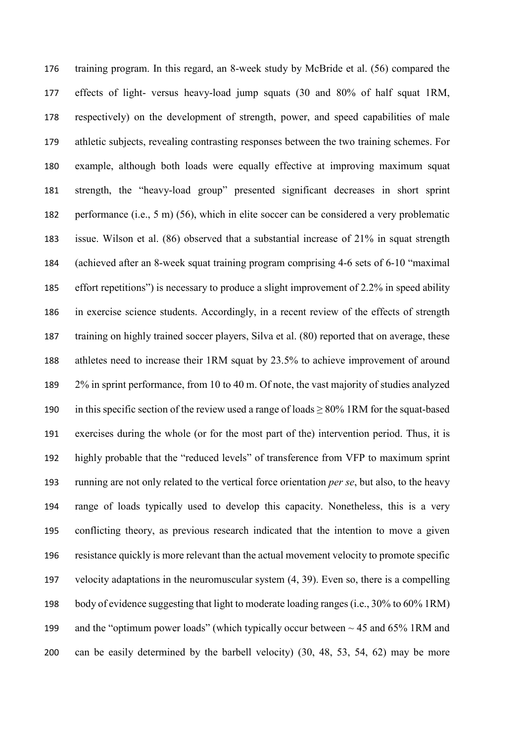training program. In this regard, an 8-week study by McBride et al. [\(56\)](#page-20-5) compared the effects of light- versus heavy-load jump squats (30 and 80% of half squat 1RM, respectively) on the development of strength, power, and speed capabilities of male athletic subjects, revealing contrasting responses between the two training schemes. For example, although both loads were equally effective at improving maximum squat strength, the "heavy-load group" presented significant decreases in short sprint performance (i.e., 5 m) [\(56\)](#page-20-5), which in elite soccer can be considered a very problematic issue. Wilson et al. [\(86\)](#page-24-4) observed that a substantial increase of 21% in squat strength (achieved after an 8-week squat training program comprising 4-6 sets of 6-10 "maximal effort repetitions") is necessary to produce a slight improvement of 2.2% in speed ability in exercise science students. Accordingly, in a recent review of the effects of strength training on highly trained soccer players, Silva et al. [\(80\)](#page-23-2) reported that on average, these athletes need to increase their 1RM squat by 23.5% to achieve improvement of around 2% in sprint performance, from 10 to 40 m. Of note, the vast majority of studies analyzed 190 in this specific section of the review used a range of loads  $\geq 80\%$  1RM for the squat-based exercises during the whole (or for the most part of the) intervention period. Thus, it is highly probable that the "reduced levels" of transference from VFP to maximum sprint running are not only related to the vertical force orientation *per se*, but also, to the heavy range of loads typically used to develop this capacity. Nonetheless, this is a very conflicting theory, as previous research indicated that the intention to move a given resistance quickly is more relevant than the actual movement velocity to promote specific velocity adaptations in the neuromuscular system [\(4,](#page-13-2) [39\)](#page-18-5). Even so, there is a compelling body of evidence suggesting that light to moderate loading ranges (i.e., 30% to 60% 1RM) 199 and the "optimum power loads" (which typically occur between  $\sim$  45 and 65% 1RM and can be easily determined by the barbell velocity) [\(30,](#page-17-2) [48,](#page-19-3) [53,](#page-20-4) [54,](#page-20-2) [62\)](#page-21-6) may be more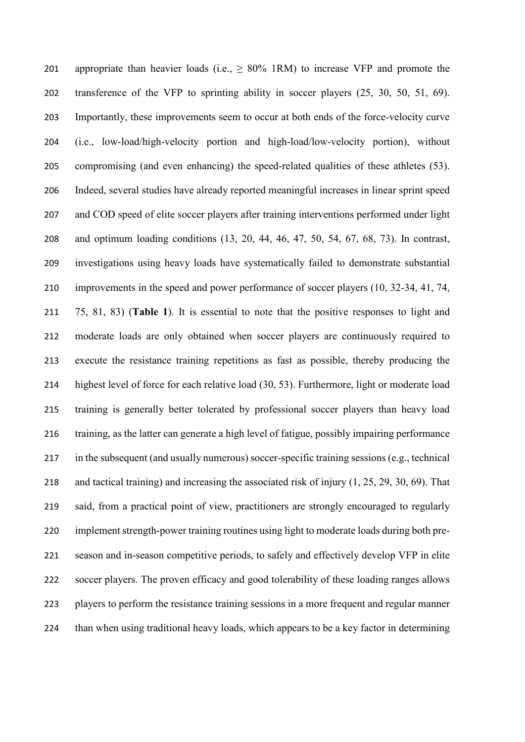201 appropriate than heavier loads (i.e.,  $\geq 80\%$  1RM) to increase VFP and promote the transference of the VFP to sprinting ability in soccer players [\(25,](#page-16-5) [30,](#page-17-2) [50,](#page-20-6) [51,](#page-20-0) [69\)](#page-22-5). Importantly, these improvements seem to occur at both ends of the force-velocity curve (i.e., low-load/high-velocity portion and high-load/low-velocity portion), without compromising (and even enhancing) the speed-related qualities of these athletes [\(53\)](#page-20-4). Indeed, several studies have already reported meaningful increases in linear sprint speed and COD speed of elite soccer players after training interventions performed under light and optimum loading conditions [\(13,](#page-15-4) [20,](#page-15-5) [44,](#page-19-4) [46,](#page-19-5) [47,](#page-19-1) [50,](#page-20-6) [54,](#page-20-2) [67,](#page-22-6) [68,](#page-22-7) [73\)](#page-23-4). In contrast, investigations using heavy loads have systematically failed to demonstrate substantial improvements in the speed and power performance of soccer players [\(10,](#page-14-7) [32-34,](#page-17-3) [41,](#page-18-6) [74,](#page-23-5) [75,](#page-23-6) [81,](#page-24-5) [83\)](#page-24-6) (**Table 1**). It is essential to note that the positive responses to light and moderate loads are only obtained when soccer players are continuously required to execute the resistance training repetitions as fast as possible, thereby producing the highest level of force for each relative load [\(30,](#page-17-2) [53\)](#page-20-4). Furthermore, light or moderate load training is generally better tolerated by professional soccer players than heavy load training, as the latter can generate a high level of fatigue, possibly impairing performance in the subsequent (and usually numerous) soccer-specific training sessions (e.g., technical and tactical training) and increasing the associated risk of injury [\(1,](#page-13-3) [25,](#page-16-5) [29,](#page-17-4) [30,](#page-17-2) [69\)](#page-22-5). That said, from a practical point of view, practitioners are strongly encouraged to regularly implement strength-power training routines using light to moderate loads during both pre- season and in-season competitive periods, to safely and effectively develop VFP in elite soccer players. The proven efficacy and good tolerability of these loading ranges allows players to perform the resistance training sessions in a more frequent and regular manner than when using traditional heavy loads, which appears to be a key factor in determining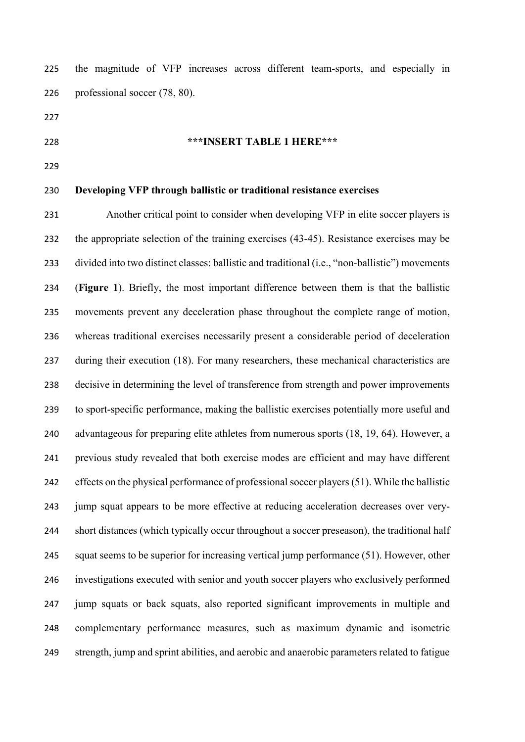the magnitude of VFP increases across different team-sports, and especially in professional soccer [\(78,](#page-23-7) [80\)](#page-23-2).

- 
- 

### **\*\*\*INSERT TABLE 1 HERE\*\*\***

# **Developing VFP through ballistic or traditional resistance exercises**

 Another critical point to consider when developing VFP in elite soccer players is the appropriate selection of the training exercises [\(43-45\)](#page-18-1). Resistance exercises may be divided into two distinct classes: ballistic and traditional (i.e., "non-ballistic") movements (**Figure 1**). Briefly, the most important difference between them is that the ballistic movements prevent any deceleration phase throughout the complete range of motion, whereas traditional exercises necessarily present a considerable period of deceleration 237 during their execution [\(18\)](#page-15-6). For many researchers, these mechanical characteristics are decisive in determining the level of transference from strength and power improvements to sport-specific performance, making the ballistic exercises potentially more useful and advantageous for preparing elite athletes from numerous sports [\(18,](#page-15-6) [19,](#page-15-7) [64\)](#page-21-1). However, a previous study revealed that both exercise modes are efficient and may have different effects on the physical performance of professional soccer players[\(51\)](#page-20-0). While the ballistic jump squat appears to be more effective at reducing acceleration decreases over very- short distances (which typically occur throughout a soccer preseason), the traditional half squat seems to be superior for increasing vertical jump performance [\(51\)](#page-20-0). However, other investigations executed with senior and youth soccer players who exclusively performed jump squats or back squats, also reported significant improvements in multiple and complementary performance measures, such as maximum dynamic and isometric strength, jump and sprint abilities, and aerobic and anaerobic parameters related to fatigue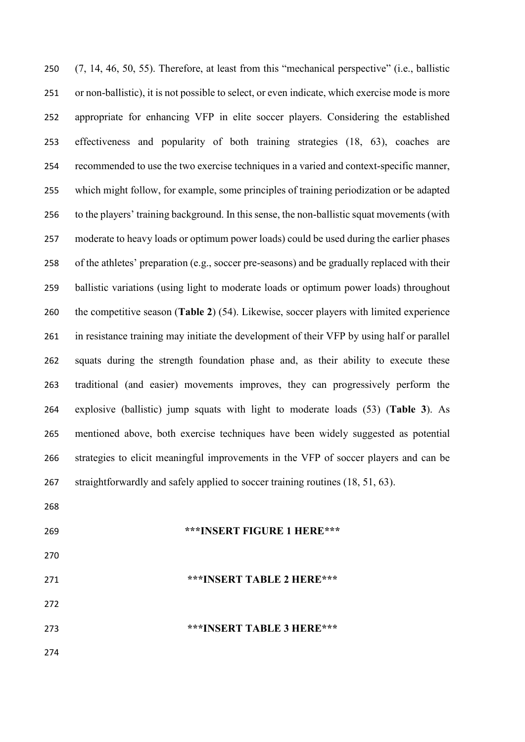[\(7,](#page-14-0) [14,](#page-15-0) [46,](#page-19-5) [50,](#page-20-6) [55\)](#page-20-3). Therefore, at least from this "mechanical perspective" (i.e., ballistic or non-ballistic), it is not possible to select, or even indicate, which exercise mode is more appropriate for enhancing VFP in elite soccer players. Considering the established effectiveness and popularity of both training strategies [\(18,](#page-15-6) [63\)](#page-21-7), coaches are recommended to use the two exercise techniques in a varied and context-specific manner, which might follow, for example, some principles of training periodization or be adapted to the players' training background. In this sense, the non-ballistic squat movements (with moderate to heavy loads or optimum power loads) could be used during the earlier phases of the athletes' preparation (e.g., soccer pre-seasons) and be gradually replaced with their ballistic variations (using light to moderate loads or optimum power loads) throughout the competitive season (**Table 2**) [\(54\)](#page-20-2). Likewise, soccer players with limited experience in resistance training may initiate the development of their VFP by using half or parallel squats during the strength foundation phase and, as their ability to execute these traditional (and easier) movements improves, they can progressively perform the explosive (ballistic) jump squats with light to moderate loads [\(53\)](#page-20-4) (**Table 3**). As mentioned above, both exercise techniques have been widely suggested as potential strategies to elicit meaningful improvements in the VFP of soccer players and can be 267 straightforwardly and safely applied to soccer training routines [\(18,](#page-15-6) [51,](#page-20-0) [63\)](#page-21-7). **\*\*\*INSERT FIGURE 1 HERE\*\*\***

- 
- **\*\*\*INSERT TABLE 2 HERE\*\*\***

**\*\*\*INSERT TABLE 3 HERE\*\*\***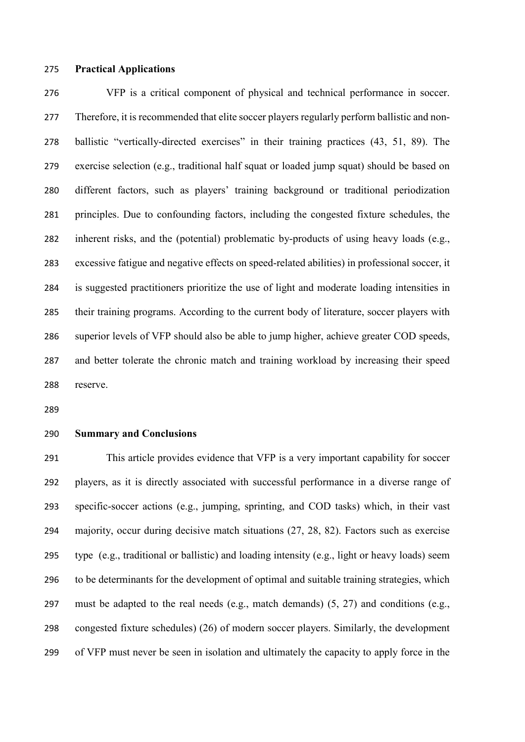# **Practical Applications**

 VFP is a critical component of physical and technical performance in soccer. Therefore, it is recommended that elite soccer players regularly perform ballistic and non- ballistic "vertically-directed exercises" in their training practices [\(43,](#page-18-1) [51,](#page-20-0) [89\)](#page-25-0). The exercise selection (e.g., traditional half squat or loaded jump squat) should be based on different factors, such as players' training background or traditional periodization principles. Due to confounding factors, including the congested fixture schedules, the inherent risks, and the (potential) problematic by-products of using heavy loads (e.g., excessive fatigue and negative effects on speed-related abilities) in professional soccer, it is suggested practitioners prioritize the use of light and moderate loading intensities in their training programs. According to the current body of literature, soccer players with superior levels of VFP should also be able to jump higher, achieve greater COD speeds, and better tolerate the chronic match and training workload by increasing their speed reserve.

## **Summary and Conclusions**

 This article provides evidence that VFP is a very important capability for soccer players, as it is directly associated with successful performance in a diverse range of specific-soccer actions (e.g., jumping, sprinting, and COD tasks) which, in their vast majority, occur during decisive match situations [\(27,](#page-16-0) [28,](#page-17-0) [82\)](#page-24-7). Factors such as exercise type (e.g., traditional or ballistic) and loading intensity (e.g., light or heavy loads) seem to be determinants for the development of optimal and suitable training strategies, which must be adapted to the real needs (e.g., match demands) [\(5,](#page-14-3) [27\)](#page-16-0) and conditions (e.g., congested fixture schedules) [\(26\)](#page-16-6) of modern soccer players. Similarly, the development of VFP must never be seen in isolation and ultimately the capacity to apply force in the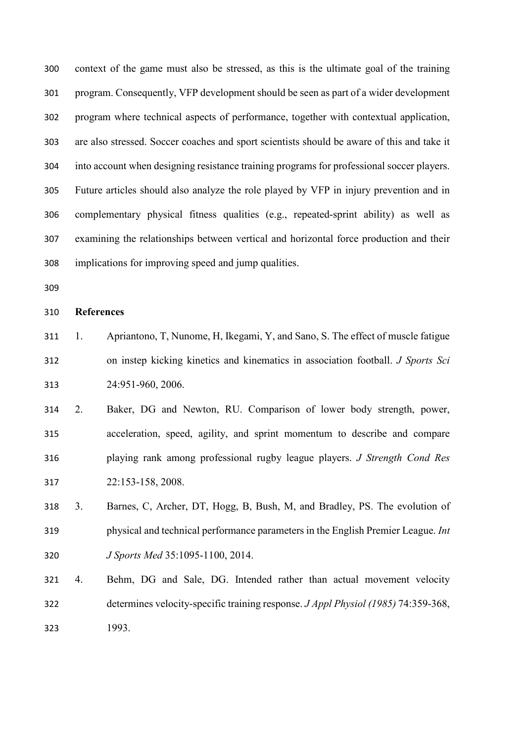context of the game must also be stressed, as this is the ultimate goal of the training program. Consequently, VFP development should be seen as part of a wider development program where technical aspects of performance, together with contextual application, are also stressed. Soccer coaches and sport scientists should be aware of this and take it into account when designing resistance training programs for professional soccer players. Future articles should also analyze the role played by VFP in injury prevention and in complementary physical fitness qualities (e.g., repeated-sprint ability) as well as examining the relationships between vertical and horizontal force production and their implications for improving speed and jump qualities.

#### **References**

- <span id="page-13-3"></span> 1. Apriantono, T, Nunome, H, Ikegami, Y, and Sano, S. The effect of muscle fatigue on instep kicking kinetics and kinematics in association football. *J Sports Sci* 24:951-960, 2006.
- <span id="page-13-1"></span> 2. Baker, DG and Newton, RU. Comparison of lower body strength, power, acceleration, speed, agility, and sprint momentum to describe and compare playing rank among professional rugby league players. *J Strength Cond Res* 22:153-158, 2008.
- <span id="page-13-0"></span> 3. Barnes, C, Archer, DT, Hogg, B, Bush, M, and Bradley, PS. The evolution of physical and technical performance parameters in the English Premier League. *Int J Sports Med* 35:1095-1100, 2014.
- <span id="page-13-2"></span> 4. Behm, DG and Sale, DG. Intended rather than actual movement velocity determines velocity-specific training response. *J Appl Physiol (1985)* 74:359-368, 1993.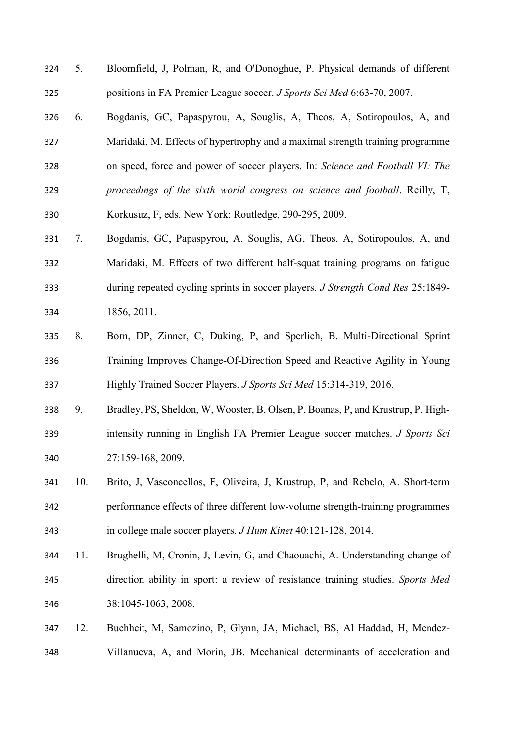- <span id="page-14-3"></span> 5. Bloomfield, J, Polman, R, and O'Donoghue, P. Physical demands of different positions in FA Premier League soccer. *J Sports Sci Med* 6:63-70, 2007.
- <span id="page-14-6"></span> 6. Bogdanis, GC, Papaspyrou, A, Souglis, A, Theos, A, Sotiropoulos, A, and Maridaki, M. Effects of hypertrophy and a maximal strength training programme on speed, force and power of soccer players. In: *Science and Football VI: The proceedings of the sixth world congress on science and football*. Reilly, T,
- Korkusuz, F, eds*.* New York: Routledge, 290-295, 2009.
- <span id="page-14-0"></span> 7. Bogdanis, GC, Papaspyrou, A, Souglis, AG, Theos, A, Sotiropoulos, A, and Maridaki, M. Effects of two different half-squat training programs on fatigue during repeated cycling sprints in soccer players. *J Strength Cond Res* 25:1849- 1856, 2011.
- <span id="page-14-4"></span> 8. Born, DP, Zinner, C, Duking, P, and Sperlich, B. Multi-Directional Sprint Training Improves Change-Of-Direction Speed and Reactive Agility in Young Highly Trained Soccer Players. *J Sports Sci Med* 15:314-319, 2016.
- <span id="page-14-1"></span> 9. Bradley, PS, Sheldon, W, Wooster, B, Olsen, P, Boanas, P, and Krustrup, P. High- intensity running in English FA Premier League soccer matches. *J Sports Sci* 27:159-168, 2009.
- <span id="page-14-7"></span> 10. Brito, J, Vasconcellos, F, Oliveira, J, Krustrup, P, and Rebelo, A. Short-term performance effects of three different low-volume strength-training programmes in college male soccer players. *J Hum Kinet* 40:121-128, 2014.
- <span id="page-14-5"></span> 11. Brughelli, M, Cronin, J, Levin, G, and Chaouachi, A. Understanding change of direction ability in sport: a review of resistance training studies. *Sports Med* 38:1045-1063, 2008.
- <span id="page-14-2"></span> 12. Buchheit, M, Samozino, P, Glynn, JA, Michael, BS, Al Haddad, H, Mendez-Villanueva, A, and Morin, JB. Mechanical determinants of acceleration and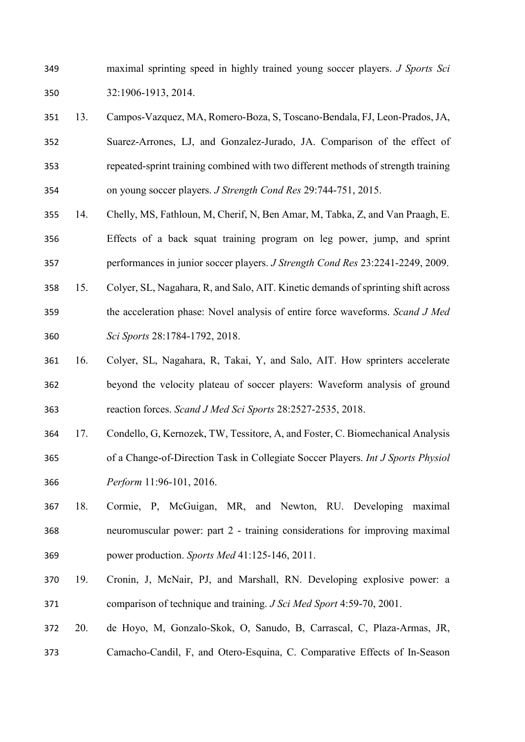maximal sprinting speed in highly trained young soccer players. *J Sports Sci* 32:1906-1913, 2014.

- <span id="page-15-4"></span> 13. Campos-Vazquez, MA, Romero-Boza, S, Toscano-Bendala, FJ, Leon-Prados, JA, Suarez-Arrones, LJ, and Gonzalez-Jurado, JA. Comparison of the effect of repeated-sprint training combined with two different methods of strength training on young soccer players. *J Strength Cond Res* 29:744-751, 2015.
- <span id="page-15-0"></span> 14. Chelly, MS, Fathloun, M, Cherif, N, Ben Amar, M, Tabka, Z, and Van Praagh, E. Effects of a back squat training program on leg power, jump, and sprint performances in junior soccer players. *J Strength Cond Res* 23:2241-2249, 2009.
- <span id="page-15-2"></span> 15. Colyer, SL, Nagahara, R, and Salo, AIT. Kinetic demands of sprinting shift across the acceleration phase: Novel analysis of entire force waveforms. *Scand J Med Sci Sports* 28:1784-1792, 2018.
- <span id="page-15-1"></span> 16. Colyer, SL, Nagahara, R, Takai, Y, and Salo, AIT. How sprinters accelerate beyond the velocity plateau of soccer players: Waveform analysis of ground reaction forces. *Scand J Med Sci Sports* 28:2527-2535, 2018.
- <span id="page-15-3"></span> 17. Condello, G, Kernozek, TW, Tessitore, A, and Foster, C. Biomechanical Analysis of a Change-of-Direction Task in Collegiate Soccer Players. *Int J Sports Physiol Perform* 11:96-101, 2016.
- <span id="page-15-6"></span> 18. Cormie, P, McGuigan, MR, and Newton, RU. Developing maximal neuromuscular power: part 2 - training considerations for improving maximal power production. *Sports Med* 41:125-146, 2011.
- <span id="page-15-7"></span> 19. Cronin, J, McNair, PJ, and Marshall, RN. Developing explosive power: a comparison of technique and training. *J Sci Med Sport* 4:59-70, 2001.
- <span id="page-15-5"></span>20. de Hoyo, M, Gonzalo-Skok, O, Sanudo, B, Carrascal, C, Plaza-Armas, JR,
- Camacho-Candil, F, and Otero-Esquina, C. Comparative Effects of In-Season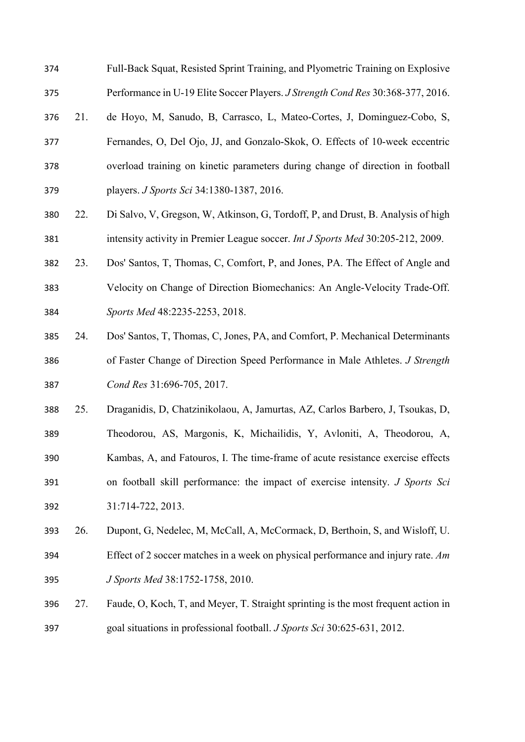- Full-Back Squat, Resisted Sprint Training, and Plyometric Training on Explosive Performance in U-19 Elite Soccer Players. *J Strength Cond Res* 30:368-377, 2016.
- <span id="page-16-2"></span>21. de Hoyo, M, Sanudo, B, Carrasco, L, Mateo-Cortes, J, Dominguez-Cobo, S,
- Fernandes, O, Del Ojo, JJ, and Gonzalo-Skok, O. Effects of 10-week eccentric overload training on kinetic parameters during change of direction in football players. *J Sports Sci* 34:1380-1387, 2016.
- <span id="page-16-1"></span> 22. Di Salvo, V, Gregson, W, Atkinson, G, Tordoff, P, and Drust, B. Analysis of high intensity activity in Premier League soccer. *Int J Sports Med* 30:205-212, 2009.
- <span id="page-16-4"></span> 23. Dos' Santos, T, Thomas, C, Comfort, P, and Jones, PA. The Effect of Angle and Velocity on Change of Direction Biomechanics: An Angle-Velocity Trade-Off. *Sports Med* 48:2235-2253, 2018.
- <span id="page-16-3"></span> 24. Dos' Santos, T, Thomas, C, Jones, PA, and Comfort, P. Mechanical Determinants of Faster Change of Direction Speed Performance in Male Athletes. *J Strength Cond Res* 31:696-705, 2017.
- <span id="page-16-5"></span> 25. Draganidis, D, Chatzinikolaou, A, Jamurtas, AZ, Carlos Barbero, J, Tsoukas, D, Theodorou, AS, Margonis, K, Michailidis, Y, Avloniti, A, Theodorou, A, Kambas, A, and Fatouros, I. The time-frame of acute resistance exercise effects on football skill performance: the impact of exercise intensity. *J Sports Sci* 31:714-722, 2013.
- <span id="page-16-6"></span> 26. Dupont, G, Nedelec, M, McCall, A, McCormack, D, Berthoin, S, and Wisloff, U. Effect of 2 soccer matches in a week on physical performance and injury rate. *Am J Sports Med* 38:1752-1758, 2010.
- <span id="page-16-0"></span> 27. Faude, O, Koch, T, and Meyer, T. Straight sprinting is the most frequent action in goal situations in professional football. *J Sports Sci* 30:625-631, 2012.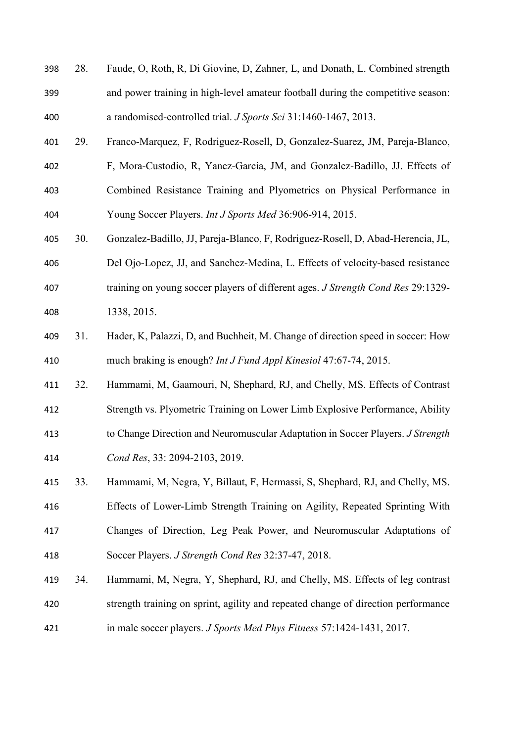- <span id="page-17-0"></span> 28. Faude, O, Roth, R, Di Giovine, D, Zahner, L, and Donath, L. Combined strength and power training in high-level amateur football during the competitive season: a randomised-controlled trial. *J Sports Sci* 31:1460-1467, 2013.
- <span id="page-17-4"></span>29. Franco-Marquez, F, Rodriguez-Rosell, D, Gonzalez-Suarez, JM, Pareja-Blanco,
- F, Mora-Custodio, R, Yanez-Garcia, JM, and Gonzalez-Badillo, JJ. Effects of Combined Resistance Training and Plyometrics on Physical Performance in Young Soccer Players. *Int J Sports Med* 36:906-914, 2015.
- <span id="page-17-2"></span> 30. Gonzalez-Badillo, JJ, Pareja-Blanco, F, Rodriguez-Rosell, D, Abad-Herencia, JL, Del Ojo-Lopez, JJ, and Sanchez-Medina, L. Effects of velocity-based resistance training on young soccer players of different ages. *J Strength Cond Res* 29:1329- 1338, 2015.
- <span id="page-17-1"></span> 31. Hader, K, Palazzi, D, and Buchheit, M. Change of direction speed in soccer: How much braking is enough? *Int J Fund Appl Kinesiol* 47:67-74, 2015.
- <span id="page-17-3"></span> 32. Hammami, M, Gaamouri, N, Shephard, RJ, and Chelly, MS. Effects of Contrast Strength vs. Plyometric Training on Lower Limb Explosive Performance, Ability to Change Direction and Neuromuscular Adaptation in Soccer Players. *J Strength Cond Res*, 33: 2094-2103, 2019.
- 33. Hammami, M, Negra, Y, Billaut, F, Hermassi, S, Shephard, RJ, and Chelly, MS. Effects of Lower-Limb Strength Training on Agility, Repeated Sprinting With Changes of Direction, Leg Peak Power, and Neuromuscular Adaptations of Soccer Players. *J Strength Cond Res* 32:37-47, 2018.
- 34. Hammami, M, Negra, Y, Shephard, RJ, and Chelly, MS. Effects of leg contrast strength training on sprint, agility and repeated change of direction performance in male soccer players. *J Sports Med Phys Fitness* 57:1424-1431, 2017.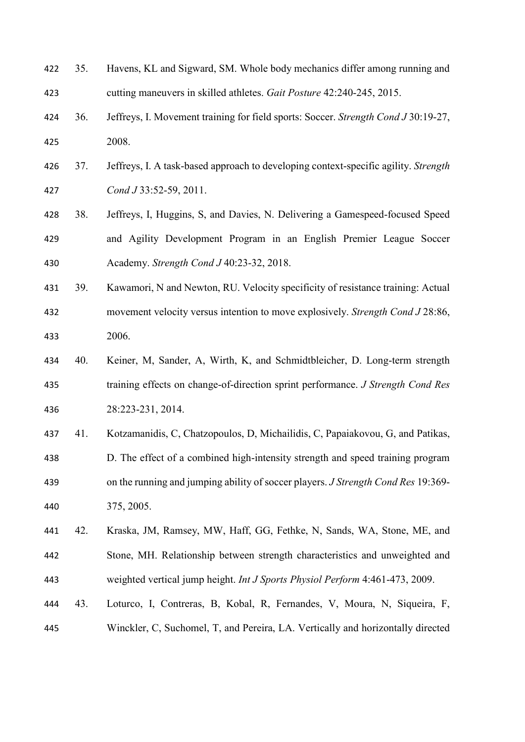<span id="page-18-6"></span><span id="page-18-5"></span><span id="page-18-4"></span><span id="page-18-3"></span><span id="page-18-2"></span><span id="page-18-1"></span><span id="page-18-0"></span>

| 422 | 35. | Havens, KL and Sigward, SM. Whole body mechanics differ among running and                |
|-----|-----|------------------------------------------------------------------------------------------|
| 423 |     | cutting maneuvers in skilled athletes. Gait Posture 42:240-245, 2015.                    |
| 424 | 36. | Jeffreys, I. Movement training for field sports: Soccer. Strength Cond J 30:19-27,       |
| 425 |     | 2008.                                                                                    |
| 426 | 37. | Jeffreys, I. A task-based approach to developing context-specific agility. Strength      |
| 427 |     | Cond J 33:52-59, 2011.                                                                   |
| 428 | 38. | Jeffreys, I, Huggins, S, and Davies, N. Delivering a Gamespeed-focused Speed             |
| 429 |     | and Agility Development Program in an English Premier League Soccer                      |
| 430 |     | Academy. Strength Cond J 40:23-32, 2018.                                                 |
| 431 | 39. | Kawamori, N and Newton, RU. Velocity specificity of resistance training: Actual          |
| 432 |     | movement velocity versus intention to move explosively. Strength Cond J 28:86,           |
| 433 |     | 2006.                                                                                    |
| 434 | 40. | Keiner, M, Sander, A, Wirth, K, and Schmidtbleicher, D. Long-term strength               |
| 435 |     | training effects on change-of-direction sprint performance. J Strength Cond Res          |
| 436 |     |                                                                                          |
|     |     | 28:223-231, 2014.                                                                        |
| 437 | 41. | Kotzamanidis, C, Chatzopoulos, D, Michailidis, C, Papaiakovou, G, and Patikas,           |
| 438 |     | D. The effect of a combined high-intensity strength and speed training program           |
| 439 |     | on the running and jumping ability of soccer players. <i>J Strength Cond Res</i> 19:369- |
| 440 |     | 375, 2005.                                                                               |
| 441 | 42. | Kraska, JM, Ramsey, MW, Haff, GG, Fethke, N, Sands, WA, Stone, ME, and                   |
| 442 |     | Stone, MH. Relationship between strength characteristics and unweighted and              |
| 443 |     | weighted vertical jump height. Int J Sports Physiol Perform 4:461-473, 2009.             |
| 444 | 43. | Loturco, I, Contreras, B, Kobal, R, Fernandes, V, Moura, N, Siqueira, F,                 |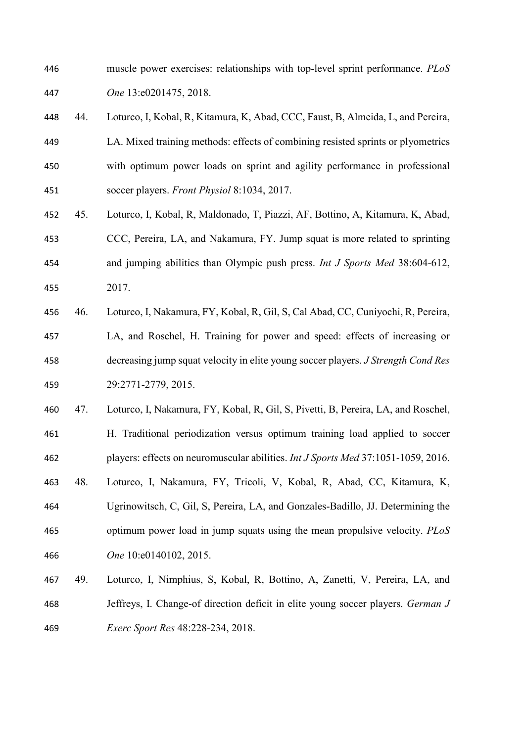- muscle power exercises: relationships with top-level sprint performance. *PLoS One* 13:e0201475, 2018.
- <span id="page-19-4"></span> 44. Loturco, I, Kobal, R, Kitamura, K, Abad, CCC, Faust, B, Almeida, L, and Pereira, LA. Mixed training methods: effects of combining resisted sprints or plyometrics with optimum power loads on sprint and agility performance in professional soccer players. *Front Physiol* 8:1034, 2017.
- <span id="page-19-0"></span> 45. Loturco, I, Kobal, R, Maldonado, T, Piazzi, AF, Bottino, A, Kitamura, K, Abad, CCC, Pereira, LA, and Nakamura, FY. Jump squat is more related to sprinting and jumping abilities than Olympic push press. *Int J Sports Med* 38:604-612, 2017.
- <span id="page-19-5"></span> 46. Loturco, I, Nakamura, FY, Kobal, R, Gil, S, Cal Abad, CC, Cuniyochi, R, Pereira, LA, and Roschel, H. Training for power and speed: effects of increasing or decreasing jump squat velocity in elite young soccer players. *J Strength Cond Res* 29:2771-2779, 2015.
- <span id="page-19-1"></span> 47. Loturco, I, Nakamura, FY, Kobal, R, Gil, S, Pivetti, B, Pereira, LA, and Roschel, H. Traditional periodization versus optimum training load applied to soccer players: effects on neuromuscular abilities. *Int J Sports Med* 37:1051-1059, 2016.
- <span id="page-19-3"></span> 48. Loturco, I, Nakamura, FY, Tricoli, V, Kobal, R, Abad, CC, Kitamura, K, Ugrinowitsch, C, Gil, S, Pereira, LA, and Gonzales-Badillo, JJ. Determining the optimum power load in jump squats using the mean propulsive velocity. *PLoS One* 10:e0140102, 2015.
- <span id="page-19-2"></span> 49. Loturco, I, Nimphius, S, Kobal, R, Bottino, A, Zanetti, V, Pereira, LA, and Jeffreys, I. Change-of direction deficit in elite young soccer players. *German J Exerc Sport Res* 48:228-234, 2018.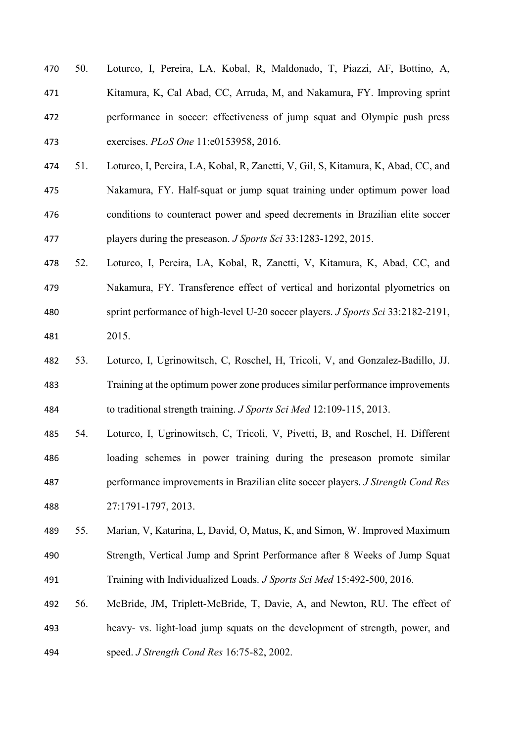- <span id="page-20-6"></span> 50. Loturco, I, Pereira, LA, Kobal, R, Maldonado, T, Piazzi, AF, Bottino, A, Kitamura, K, Cal Abad, CC, Arruda, M, and Nakamura, FY. Improving sprint performance in soccer: effectiveness of jump squat and Olympic push press exercises. *PLoS One* 11:e0153958, 2016.
- <span id="page-20-0"></span> 51. Loturco, I, Pereira, LA, Kobal, R, Zanetti, V, Gil, S, Kitamura, K, Abad, CC, and Nakamura, FY. Half-squat or jump squat training under optimum power load conditions to counteract power and speed decrements in Brazilian elite soccer players during the preseason. *J Sports Sci* 33:1283-1292, 2015.
- <span id="page-20-1"></span> 52. Loturco, I, Pereira, LA, Kobal, R, Zanetti, V, Kitamura, K, Abad, CC, and Nakamura, FY. Transference effect of vertical and horizontal plyometrics on sprint performance of high-level U-20 soccer players. *J Sports Sci* 33:2182-2191, 2015.
- <span id="page-20-4"></span> 53. Loturco, I, Ugrinowitsch, C, Roschel, H, Tricoli, V, and Gonzalez-Badillo, JJ. Training at the optimum power zone produces similar performance improvements to traditional strength training. *J Sports Sci Med* 12:109-115, 2013.
- <span id="page-20-2"></span> 54. Loturco, I, Ugrinowitsch, C, Tricoli, V, Pivetti, B, and Roschel, H. Different loading schemes in power training during the preseason promote similar performance improvements in Brazilian elite soccer players. *J Strength Cond Res* 27:1791-1797, 2013.
- <span id="page-20-3"></span> 55. Marian, V, Katarina, L, David, O, Matus, K, and Simon, W. Improved Maximum Strength, Vertical Jump and Sprint Performance after 8 Weeks of Jump Squat Training with Individualized Loads. *J Sports Sci Med* 15:492-500, 2016.
- <span id="page-20-5"></span> 56. McBride, JM, Triplett-McBride, T, Davie, A, and Newton, RU. The effect of heavy- vs. light-load jump squats on the development of strength, power, and speed. *J Strength Cond Res* 16:75-82, 2002.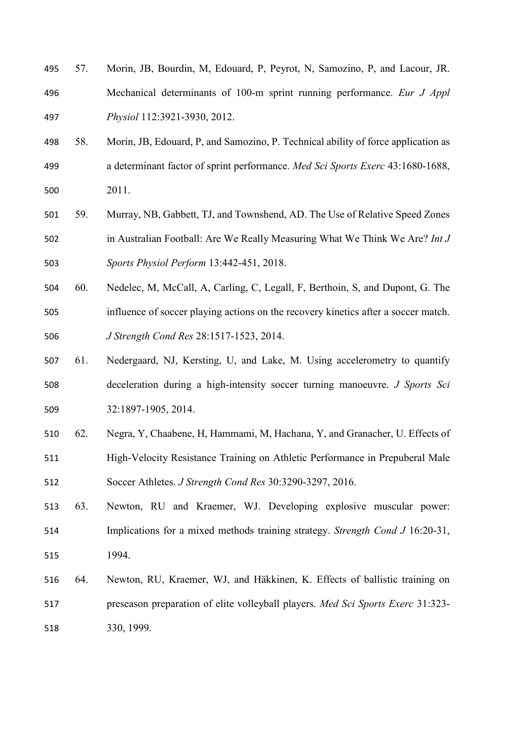- <span id="page-21-2"></span> 57. Morin, JB, Bourdin, M, Edouard, P, Peyrot, N, Samozino, P, and Lacour, JR. Mechanical determinants of 100-m sprint running performance. *Eur J Appl Physiol* 112:3921-3930, 2012.
- <span id="page-21-3"></span> 58. Morin, JB, Edouard, P, and Samozino, P. Technical ability of force application as a determinant factor of sprint performance. *Med Sci Sports Exerc* 43:1680-1688, 2011.
- <span id="page-21-4"></span> 59. Murray, NB, Gabbett, TJ, and Townshend, AD. The Use of Relative Speed Zones in Australian Football: Are We Really Measuring What We Think We Are? *Int J Sports Physiol Perform* 13:442-451, 2018.
- <span id="page-21-0"></span> 60. Nedelec, M, McCall, A, Carling, C, Legall, F, Berthoin, S, and Dupont, G. The influence of soccer playing actions on the recovery kinetics after a soccer match. *J Strength Cond Res* 28:1517-1523, 2014.
- <span id="page-21-5"></span> 61. Nedergaard, NJ, Kersting, U, and Lake, M. Using accelerometry to quantify deceleration during a high-intensity soccer turning manoeuvre. *J Sports Sci* 32:1897-1905, 2014.
- <span id="page-21-6"></span> 62. Negra, Y, Chaabene, H, Hammami, M, Hachana, Y, and Granacher, U. Effects of High-Velocity Resistance Training on Athletic Performance in Prepuberal Male Soccer Athletes. *J Strength Cond Res* 30:3290-3297, 2016.
- <span id="page-21-7"></span> 63. Newton, RU and Kraemer, WJ. Developing explosive muscular power: Implications for a mixed methods training strategy. *Strength Cond J* 16:20-31, 1994.
- <span id="page-21-1"></span> 64. Newton, RU, Kraemer, WJ, and Häkkinen, K. Effects of ballistic training on preseason preparation of elite volleyball players. *Med Sci Sports Exerc* 31:323- 330, 1999.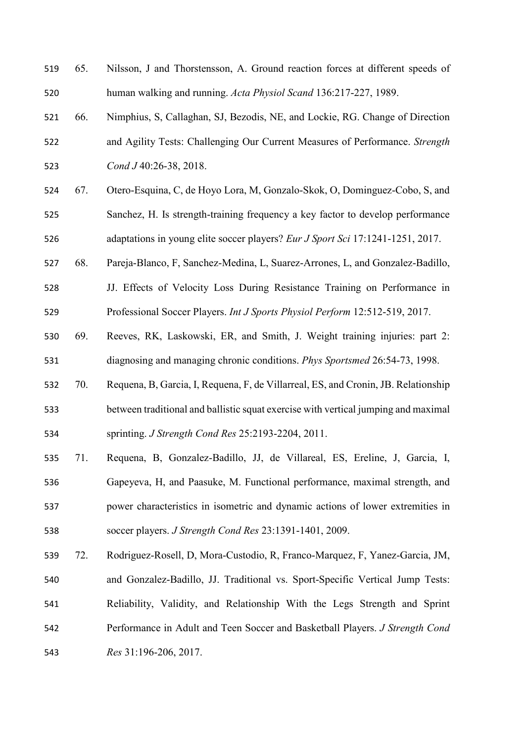<span id="page-22-7"></span><span id="page-22-6"></span><span id="page-22-5"></span><span id="page-22-4"></span><span id="page-22-3"></span><span id="page-22-2"></span><span id="page-22-1"></span><span id="page-22-0"></span> 65. Nilsson, J and Thorstensson, A. Ground reaction forces at different speeds of human walking and running. *Acta Physiol Scand* 136:217-227, 1989. 66. Nimphius, S, Callaghan, SJ, Bezodis, NE, and Lockie, RG. Change of Direction and Agility Tests: Challenging Our Current Measures of Performance. *Strength Cond J* 40:26-38, 2018. 67. Otero-Esquina, C, de Hoyo Lora, M, Gonzalo-Skok, O, Dominguez-Cobo, S, and Sanchez, H. Is strength-training frequency a key factor to develop performance adaptations in young elite soccer players? *Eur J Sport Sci* 17:1241-1251, 2017. 68. Pareja-Blanco, F, Sanchez-Medina, L, Suarez-Arrones, L, and Gonzalez-Badillo, JJ. Effects of Velocity Loss During Resistance Training on Performance in Professional Soccer Players. *Int J Sports Physiol Perform* 12:512-519, 2017. 69. Reeves, RK, Laskowski, ER, and Smith, J. Weight training injuries: part 2: diagnosing and managing chronic conditions. *Phys Sportsmed* 26:54-73, 1998. 70. Requena, B, Garcia, I, Requena, F, de Villarreal, ES, and Cronin, JB. Relationship between traditional and ballistic squat exercise with vertical jumping and maximal sprinting. *J Strength Cond Res* 25:2193-2204, 2011. 71. Requena, B, Gonzalez-Badillo, JJ, de Villareal, ES, Ereline, J, Garcia, I, Gapeyeva, H, and Paasuke, M. Functional performance, maximal strength, and power characteristics in isometric and dynamic actions of lower extremities in soccer players. *J Strength Cond Res* 23:1391-1401, 2009. 72. Rodriguez-Rosell, D, Mora-Custodio, R, Franco-Marquez, F, Yanez-Garcia, JM, and Gonzalez-Badillo, JJ. Traditional vs. Sport-Specific Vertical Jump Tests: Reliability, Validity, and Relationship With the Legs Strength and Sprint Performance in Adult and Teen Soccer and Basketball Players. *J Strength Cond Res* 31:196-206, 2017.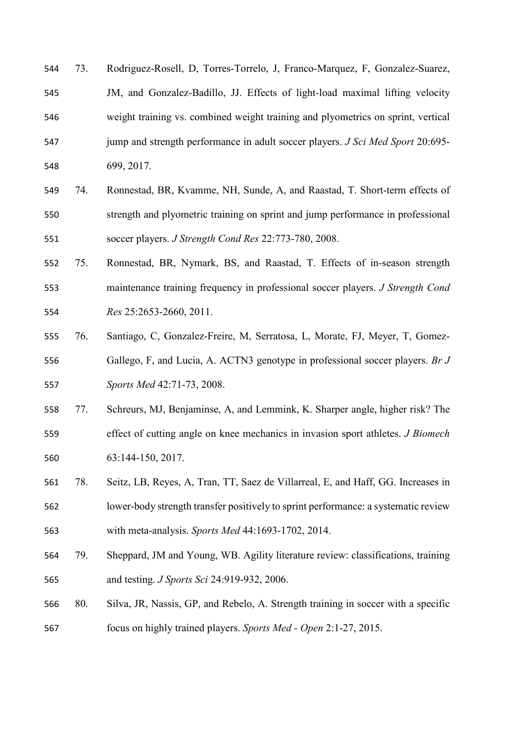- <span id="page-23-4"></span> 73. Rodriguez-Rosell, D, Torres-Torrelo, J, Franco-Marquez, F, Gonzalez-Suarez, JM, and Gonzalez-Badillo, JJ. Effects of light-load maximal lifting velocity weight training vs. combined weight training and plyometrics on sprint, vertical jump and strength performance in adult soccer players. *J Sci Med Sport* 20:695- 699, 2017.
- <span id="page-23-5"></span> 74. Ronnestad, BR, Kvamme, NH, Sunde, A, and Raastad, T. Short-term effects of strength and plyometric training on sprint and jump performance in professional soccer players. *J Strength Cond Res* 22:773-780, 2008.
- <span id="page-23-6"></span> 75. Ronnestad, BR, Nymark, BS, and Raastad, T. Effects of in-season strength maintenance training frequency in professional soccer players. *J Strength Cond Res* 25:2653-2660, 2011.
- <span id="page-23-0"></span> 76. Santiago, C, Gonzalez-Freire, M, Serratosa, L, Morate, FJ, Meyer, T, Gomez- Gallego, F, and Lucia, A. ACTN3 genotype in professional soccer players. *Br J Sports Med* 42:71-73, 2008.
- <span id="page-23-3"></span> 77. Schreurs, MJ, Benjaminse, A, and Lemmink, K. Sharper angle, higher risk? The effect of cutting angle on knee mechanics in invasion sport athletes. *J Biomech* 63:144-150, 2017.
- <span id="page-23-7"></span> 78. Seitz, LB, Reyes, A, Tran, TT, Saez de Villarreal, E, and Haff, GG. Increases in lower-body strength transfer positively to sprint performance: a systematic review with meta-analysis. *Sports Med* 44:1693-1702, 2014.
- <span id="page-23-1"></span> 79. Sheppard, JM and Young, WB. Agility literature review: classifications, training and testing. *J Sports Sci* 24:919-932, 2006.
- <span id="page-23-2"></span> 80. Silva, JR, Nassis, GP, and Rebelo, A. Strength training in soccer with a specific focus on highly trained players. *Sports Med - Open* 2:1-27, 2015.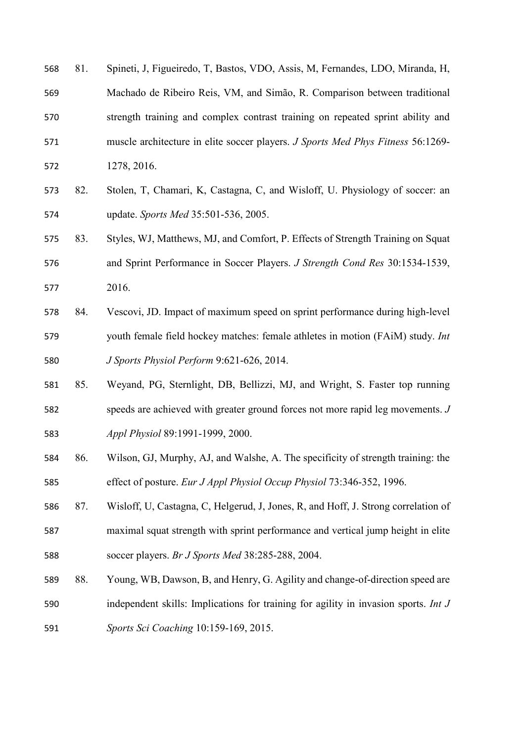<span id="page-24-5"></span>

| 568 | 81. | Spineti, J, Figueiredo, T, Bastos, VDO, Assis, M, Fernandes, LDO, Miranda, H,   |
|-----|-----|---------------------------------------------------------------------------------|
| 569 |     | Machado de Ribeiro Reis, VM, and Simão, R. Comparison between traditional       |
| 570 |     | strength training and complex contrast training on repeated sprint ability and  |
| 571 |     | muscle architecture in elite soccer players. J Sports Med Phys Fitness 56:1269- |
| 572 |     | 1278, 2016.                                                                     |

- <span id="page-24-7"></span> 82. Stolen, T, Chamari, K, Castagna, C, and Wisloff, U. Physiology of soccer: an update. *Sports Med* 35:501-536, 2005.
- <span id="page-24-6"></span> 83. Styles, WJ, Matthews, MJ, and Comfort, P. Effects of Strength Training on Squat and Sprint Performance in Soccer Players. *J Strength Cond Res* 30:1534-1539, 2016.
- <span id="page-24-2"></span> 84. Vescovi, JD. Impact of maximum speed on sprint performance during high-level youth female field hockey matches: female athletes in motion (FAiM) study. *Int J Sports Physiol Perform* 9:621-626, 2014.
- <span id="page-24-1"></span> 85. Weyand, PG, Sternlight, DB, Bellizzi, MJ, and Wright, S. Faster top running speeds are achieved with greater ground forces not more rapid leg movements. *J Appl Physiol* 89:1991-1999, 2000.
- <span id="page-24-4"></span> 86. Wilson, GJ, Murphy, AJ, and Walshe, A. The specificity of strength training: the effect of posture. *Eur J Appl Physiol Occup Physiol* 73:346-352, 1996.
- <span id="page-24-0"></span> 87. Wisloff, U, Castagna, C, Helgerud, J, Jones, R, and Hoff, J. Strong correlation of maximal squat strength with sprint performance and vertical jump height in elite soccer players. *Br J Sports Med* 38:285-288, 2004.
- <span id="page-24-3"></span> 88. Young, WB, Dawson, B, and Henry, G. Agility and change-of-direction speed are independent skills: Implications for training for agility in invasion sports. *Int J Sports Sci Coaching* 10:159-169, 2015.